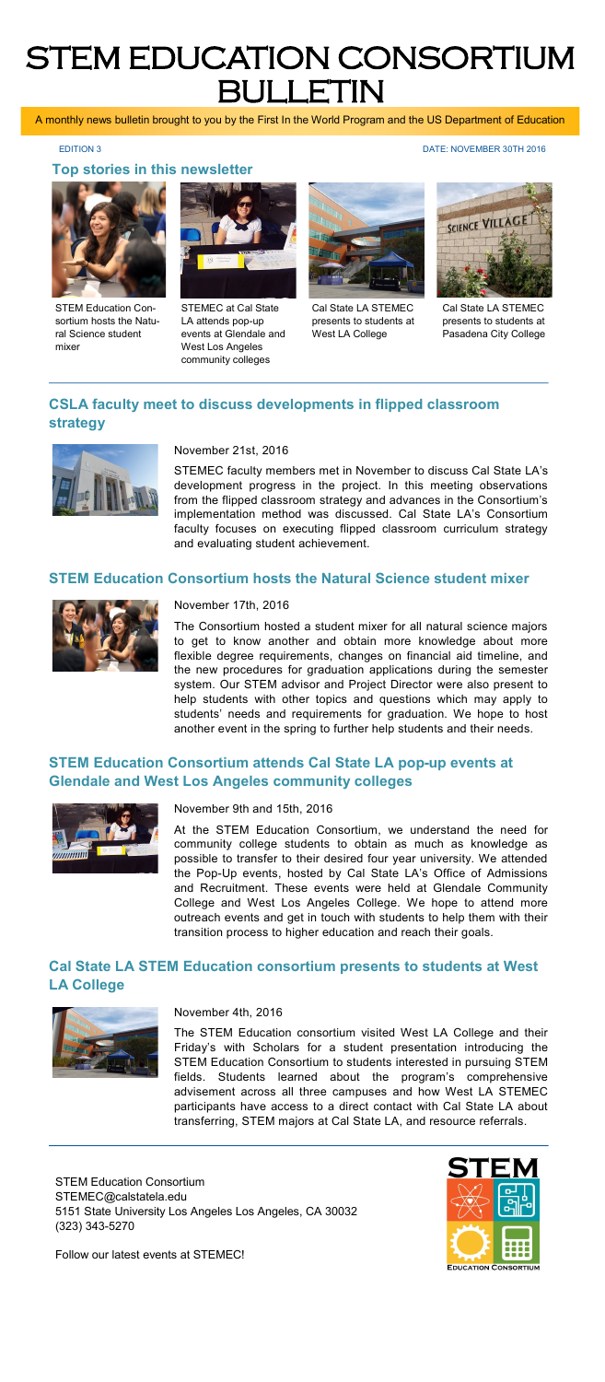# STEM EDUCATION CONSORTIUM BULLETIN

A monthly news bulletin brought to you by the First In the World Program and the US Department of Education

**Top stories in this newsletter**

EDITION 3 DATE: NOVEMBER 30TH 2016



STEM Education Consortium hosts the Natural Science student mixer



STEMEC at Cal State LA attends pop-up events at Glendale and West Los Angeles community colleges



Cal State LA STEMEC presents to students at West LA College



Cal State LA STEMEC presents to students at Pasadena City College

### **CSLA faculty meet to discuss developments in flipped classroom strategy**



#### November 21st, 2016

STEMEC faculty members met in November to discuss Cal State LA's development progress in the project. In this meeting observations from the flipped classroom strategy and advances in the Consortium's implementation method was discussed. Cal State LA's Consortium faculty focuses on executing flipped classroom curriculum strategy and evaluating student achievement.

#### **STEM Education Consortium hosts the Natural Science student mixer**



#### November 17th, 2016

The Consortium hosted a student mixer for all natural science majors to get to know another and obtain more knowledge about more flexible degree requirements, changes on financial aid timeline, and the new procedures for graduation applications during the semester system. Our STEM advisor and Project Director were also present to help students with other topics and questions which may apply to students' needs and requirements for graduation. We hope to host another event in the spring to further help students and their needs.

#### **STEM Education Consortium attends Cal State LA pop-up events at Glendale and West Los Angeles community colleges**



November 9th and 15th, 2016

At the STEM Education Consortium, we understand the need for community college students to obtain as much as knowledge as possible to transfer to their desired four year university. We attended the Pop-Up events, hosted by Cal State LA's Office of Admissions and Recruitment. These events were held at Glendale Community College and West Los Angeles College. We hope to attend more outreach events and get in touch with students to help them with their transition process to higher education and reach their goals.

#### **Cal State LA STEM Education consortium presents to students at West LA College**



November 4th, 2016

The STEM Education consortium visited West LA College and their Friday's with Scholars for a student presentation introducing the STEM Education Consortium to students interested in pursuing STEM fields. Students learned about the program's comprehensive advisement across all three campuses and how West LA STEMEC participants have access to a direct contact with Cal State LA about transferring, STEM majors at Cal State LA, and resource referrals.

STEM Education Consortium STEMEC@calstatela.edu 5151 State University Los Angeles Los Angeles, CA 30032 (323) 343-5270



Follow our latest events at STEMEC!